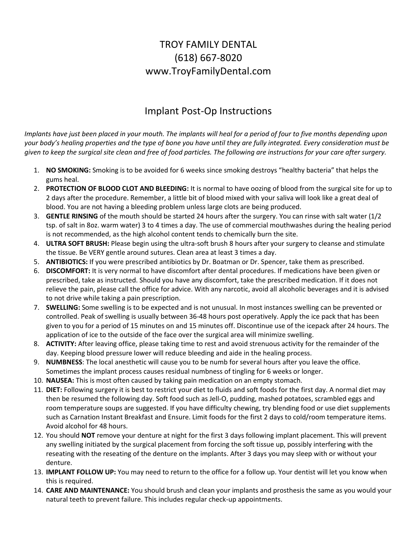## TROY FAMILY DENTAL (618) 667-8020 www.TroyFamilyDental.com

## Implant Post-Op Instructions

*Implants have just been placed in your mouth. The implants will heal for a period of four to five months depending upon your body's healing properties and the type of bone you have until they are fully integrated. Every consideration must be given to keep the surgical site clean and free of food particles. The following are instructions for your care after surgery.*

- 1. **NO SMOKING:** Smoking is to be avoided for 6 weeks since smoking destroys "healthy bacteria" that helps the gums heal.
- 2. **PROTECTION OF BLOOD CLOT AND BLEEDING:** It is normal to have oozing of blood from the surgical site for up to 2 days after the procedure. Remember, a little bit of blood mixed with your saliva will look like a great deal of blood. You are not having a bleeding problem unless large clots are being produced.
- 3. **GENTLE RINSING** of the mouth should be started 24 hours after the surgery. You can rinse with salt water (1/2 tsp. of salt in 8oz. warm water) 3 to 4 times a day. The use of commercial mouthwashes during the healing period is not recommended, as the high alcohol content tends to chemically burn the site.
- 4. **ULTRA SOFT BRUSH:** Please begin using the ultra-soft brush 8 hours after your surgery to cleanse and stimulate the tissue. Be VERY gentle around sutures. Clean area at least 3 times a day.
- 5. **ANTIBIOTICS:** If you were prescribed antibiotics by Dr. Boatman or Dr. Spencer, take them as prescribed.
- 6. **DISCOMFORT:** It is very normal to have discomfort after dental procedures. If medications have been given or prescribed, take as instructed. Should you have any discomfort, take the prescribed medication. If it does not relieve the pain, please call the office for advice. With any narcotic, avoid all alcoholic beverages and it is advised to not drive while taking a pain prescription.
- 7. **SWELLING:** Some swelling is to be expected and is not unusual. In most instances swelling can be prevented or controlled. Peak of swelling is usually between 36-48 hours post operatively. Apply the ice pack that has been given to you for a period of 15 minutes on and 15 minutes off. Discontinue use of the icepack after 24 hours. The application of ice to the outside of the face over the surgical area will minimize swelling.
- 8. **ACTIVITY:** After leaving office, please taking time to rest and avoid strenuous activity for the remainder of the day. Keeping blood pressure lower will reduce bleeding and aide in the healing process.
- 9. **NUMBNESS**: The local anesthetic will cause you to be numb for several hours after you leave the office. Sometimes the implant process causes residual numbness of tingling for 6 weeks or longer.
- 10. **NAUSEA:** This is most often caused by taking pain medication on an empty stomach.
- 11. **DIET:** Following surgery it is best to restrict your diet to fluids and soft foods for the first day. A normal diet may then be resumed the following day. Soft food such as Jell-O, pudding, mashed potatoes, scrambled eggs and room temperature soups are suggested. If you have difficulty chewing, try blending food or use diet supplements such as Carnation Instant Breakfast and Ensure. Limit foods for the first 2 days to cold/room temperature items. Avoid alcohol for 48 hours.
- 12. You should **NOT** remove your denture at night for the first 3 days following implant placement. This will prevent any swelling initiated by the surgical placement from forcing the soft tissue up, possibly interfering with the reseating with the reseating of the denture on the implants. After 3 days you may sleep with or without your denture.
- 13. **IMPLANT FOLLOW UP:** You may need to return to the office for a follow up. Your dentist will let you know when this is required.
- 14. **CARE AND MAINTENANCE:** You should brush and clean your implants and prosthesis the same as you would your natural teeth to prevent failure. This includes regular check-up appointments.